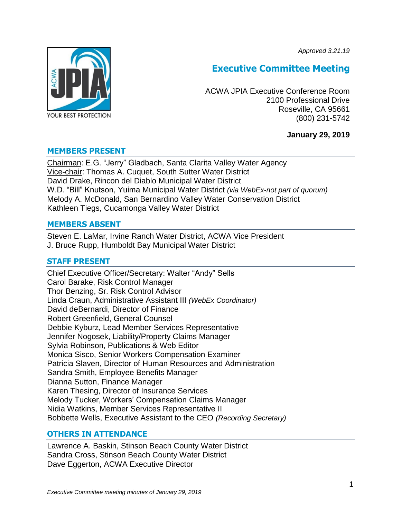*Approved 3.21.19*



# **Executive Committee Meeting**

ACWA JPIA Executive Conference Room 2100 Professional Drive Roseville, CA 95661 (800) 231-5742

# **January 29, 2019**

# **MEMBERS PRESENT**

Chairman: E.G. "Jerry" Gladbach, Santa Clarita Valley Water Agency Vice-chair: Thomas A. Cuquet, South Sutter Water District David Drake, Rincon del Diablo Municipal Water District W.D. "Bill" Knutson, Yuima Municipal Water District *(via WebEx-not part of quorum)* Melody A. McDonald, San Bernardino Valley Water Conservation District Kathleen Tiegs, Cucamonga Valley Water District

## **MEMBERS ABSENT**

Steven E. LaMar, Irvine Ranch Water District, ACWA Vice President J. Bruce Rupp, Humboldt Bay Municipal Water District

# **STAFF PRESENT**

Chief Executive Officer/Secretary: Walter "Andy" Sells Carol Barake, Risk Control Manager Thor Benzing, Sr. Risk Control Advisor Linda Craun, Administrative Assistant III *(WebEx Coordinator)* David deBernardi, Director of Finance Robert Greenfield, General Counsel Debbie Kyburz, Lead Member Services Representative Jennifer Nogosek, Liability/Property Claims Manager Sylvia Robinson, Publications & Web Editor Monica Sisco, Senior Workers Compensation Examiner Patricia Slaven, Director of Human Resources and Administration Sandra Smith, Employee Benefits Manager Dianna Sutton, Finance Manager Karen Thesing, Director of Insurance Services Melody Tucker, Workers' Compensation Claims Manager Nidia Watkins, Member Services Representative II Bobbette Wells, Executive Assistant to the CEO *(Recording Secretary)*

# **OTHERS IN ATTENDANCE**

Lawrence A. Baskin, Stinson Beach County Water District Sandra Cross, Stinson Beach County Water District Dave Eggerton, ACWA Executive Director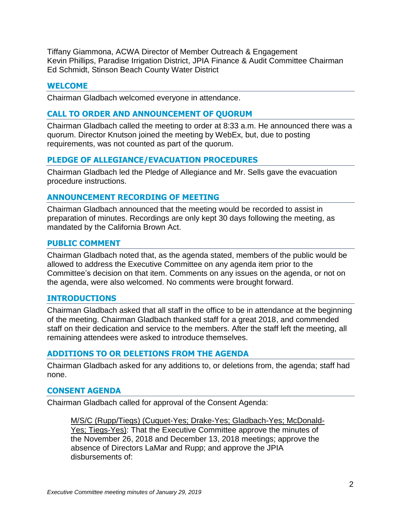Tiffany Giammona, ACWA Director of Member Outreach & Engagement Kevin Phillips, Paradise Irrigation District, JPIA Finance & Audit Committee Chairman Ed Schmidt, Stinson Beach County Water District

# **WELCOME**

Chairman Gladbach welcomed everyone in attendance.

# **CALL TO ORDER AND ANNOUNCEMENT OF QUORUM**

Chairman Gladbach called the meeting to order at 8:33 a.m. He announced there was a quorum. Director Knutson joined the meeting by WebEx, but, due to posting requirements, was not counted as part of the quorum.

# **PLEDGE OF ALLEGIANCE/EVACUATION PROCEDURES**

Chairman Gladbach led the Pledge of Allegiance and Mr. Sells gave the evacuation procedure instructions.

# **ANNOUNCEMENT RECORDING OF MEETING**

Chairman Gladbach announced that the meeting would be recorded to assist in preparation of minutes. Recordings are only kept 30 days following the meeting, as mandated by the California Brown Act.

# **PUBLIC COMMENT**

Chairman Gladbach noted that, as the agenda stated, members of the public would be allowed to address the Executive Committee on any agenda item prior to the Committee's decision on that item. Comments on any issues on the agenda, or not on the agenda, were also welcomed. No comments were brought forward.

# **INTRODUCTIONS**

Chairman Gladbach asked that all staff in the office to be in attendance at the beginning of the meeting. Chairman Gladbach thanked staff for a great 2018, and commended staff on their dedication and service to the members. After the staff left the meeting, all remaining attendees were asked to introduce themselves.

# **ADDITIONS TO OR DELETIONS FROM THE AGENDA**

Chairman Gladbach asked for any additions to, or deletions from, the agenda; staff had none.

# **CONSENT AGENDA**

Chairman Gladbach called for approval of the Consent Agenda:

M/S/C (Rupp/Tiegs) (Cuquet-Yes; Drake-Yes; Gladbach-Yes; McDonald-Yes; Tiegs-Yes): That the Executive Committee approve the minutes of the November 26, 2018 and December 13, 2018 meetings; approve the absence of Directors LaMar and Rupp; and approve the JPIA disbursements of: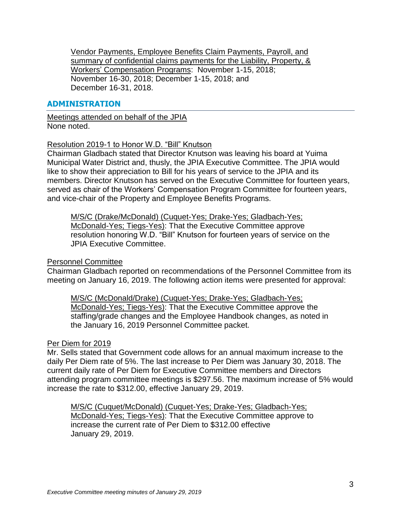Vendor Payments, Employee Benefits Claim Payments, Payroll, and summary of confidential claims payments for the Liability, Property, & Workers' Compensation Programs: November 1-15, 2018; November 16-30, 2018; December 1-15, 2018; and December 16-31, 2018.

# **ADMINISTRATION**

Meetings attended on behalf of the JPIA None noted.

## Resolution 2019-1 to Honor W.D. "Bill" Knutson

Chairman Gladbach stated that Director Knutson was leaving his board at Yuima Municipal Water District and, thusly, the JPIA Executive Committee. The JPIA would like to show their appreciation to Bill for his years of service to the JPIA and its members. Director Knutson has served on the Executive Committee for fourteen years, served as chair of the Workers' Compensation Program Committee for fourteen years, and vice-chair of the Property and Employee Benefits Programs.

M/S/C (Drake/McDonald) (Cuquet-Yes; Drake-Yes; Gladbach-Yes; McDonald-Yes; Tiegs-Yes): That the Executive Committee approve resolution honoring W.D. "Bill" Knutson for fourteen years of service on the JPIA Executive Committee.

### Personnel Committee

Chairman Gladbach reported on recommendations of the Personnel Committee from its meeting on January 16, 2019. The following action items were presented for approval:

M/S/C (McDonald/Drake) (Cuquet-Yes; Drake-Yes; Gladbach-Yes; McDonald-Yes; Tiegs-Yes): That the Executive Committee approve the staffing/grade changes and the Employee Handbook changes, as noted in the January 16, 2019 Personnel Committee packet.

#### Per Diem for 2019

Mr. Sells stated that Government code allows for an annual maximum increase to the daily Per Diem rate of 5%. The last increase to Per Diem was January 30, 2018. The current daily rate of Per Diem for Executive Committee members and Directors attending program committee meetings is \$297.56. The maximum increase of 5% would increase the rate to \$312.00, effective January 29, 2019.

M/S/C (Cuquet/McDonald) (Cuquet-Yes; Drake-Yes; Gladbach-Yes; McDonald-Yes; Tiegs-Yes): That the Executive Committee approve to increase the current rate of Per Diem to \$312.00 effective January 29, 2019.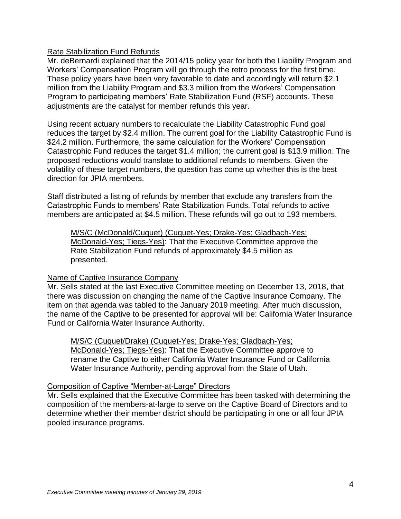# Rate Stabilization Fund Refunds

Mr. deBernardi explained that the 2014/15 policy year for both the Liability Program and Workers' Compensation Program will go through the retro process for the first time. These policy years have been very favorable to date and accordingly will return \$2.1 million from the Liability Program and \$3.3 million from the Workers' Compensation Program to participating members' Rate Stabilization Fund (RSF) accounts. These adjustments are the catalyst for member refunds this year.

Using recent actuary numbers to recalculate the Liability Catastrophic Fund goal reduces the target by \$2.4 million. The current goal for the Liability Catastrophic Fund is \$24.2 million. Furthermore, the same calculation for the Workers' Compensation Catastrophic Fund reduces the target \$1.4 million; the current goal is \$13.9 million. The proposed reductions would translate to additional refunds to members. Given the volatility of these target numbers, the question has come up whether this is the best direction for JPIA members.

Staff distributed a listing of refunds by member that exclude any transfers from the Catastrophic Funds to members' Rate Stabilization Funds. Total refunds to active members are anticipated at \$4.5 million. These refunds will go out to 193 members.

M/S/C (McDonald/Cuquet) (Cuquet-Yes; Drake-Yes; Gladbach-Yes; McDonald-Yes; Tiegs-Yes): That the Executive Committee approve the Rate Stabilization Fund refunds of approximately \$4.5 million as presented.

#### Name of Captive Insurance Company

Mr. Sells stated at the last Executive Committee meeting on December 13, 2018, that there was discussion on changing the name of the Captive Insurance Company. The item on that agenda was tabled to the January 2019 meeting. After much discussion, the name of the Captive to be presented for approval will be: California Water Insurance Fund or California Water Insurance Authority.

M/S/C (Cuquet/Drake) (Cuquet-Yes; Drake-Yes; Gladbach-Yes; McDonald-Yes; Tiegs-Yes): That the Executive Committee approve to rename the Captive to either California Water Insurance Fund or California Water Insurance Authority, pending approval from the State of Utah.

#### Composition of Captive "Member-at-Large" Directors

Mr. Sells explained that the Executive Committee has been tasked with determining the composition of the members-at-large to serve on the Captive Board of Directors and to determine whether their member district should be participating in one or all four JPIA pooled insurance programs.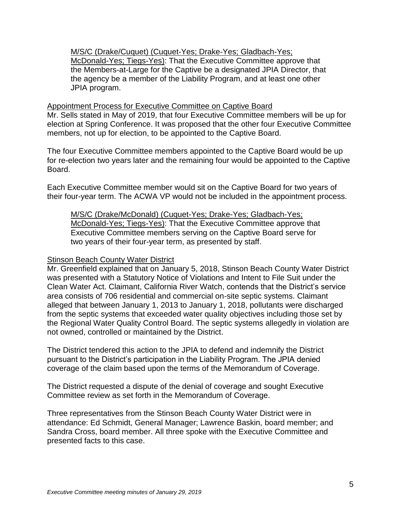M/S/C (Drake/Cuquet) (Cuquet-Yes; Drake-Yes; Gladbach-Yes; McDonald-Yes; Tiegs-Yes): That the Executive Committee approve that the Members-at-Large for the Captive be a designated JPIA Director, that the agency be a member of the Liability Program, and at least one other JPIA program.

# Appointment Process for Executive Committee on Captive Board

Mr. Sells stated in May of 2019, that four Executive Committee members will be up for election at Spring Conference. It was proposed that the other four Executive Committee members, not up for election, to be appointed to the Captive Board.

The four Executive Committee members appointed to the Captive Board would be up for re-election two years later and the remaining four would be appointed to the Captive Board.

Each Executive Committee member would sit on the Captive Board for two years of their four-year term. The ACWA VP would not be included in the appointment process.

M/S/C (Drake/McDonald) (Cuquet-Yes; Drake-Yes; Gladbach-Yes; McDonald-Yes; Tiegs-Yes): That the Executive Committee approve that Executive Committee members serving on the Captive Board serve for two years of their four-year term, as presented by staff.

### Stinson Beach County Water District

Mr. Greenfield explained that on January 5, 2018, Stinson Beach County Water District was presented with a Statutory Notice of Violations and Intent to File Suit under the Clean Water Act. Claimant, California River Watch, contends that the District's service area consists of 706 residential and commercial on-site septic systems. Claimant alleged that between January 1, 2013 to January 1, 2018, pollutants were discharged from the septic systems that exceeded water quality objectives including those set by the Regional Water Quality Control Board. The septic systems allegedly in violation are not owned, controlled or maintained by the District.

The District tendered this action to the JPIA to defend and indemnify the District pursuant to the District's participation in the Liability Program. The JPIA denied coverage of the claim based upon the terms of the Memorandum of Coverage.

The District requested a dispute of the denial of coverage and sought Executive Committee review as set forth in the Memorandum of Coverage.

Three representatives from the Stinson Beach County Water District were in attendance: Ed Schmidt, General Manager; Lawrence Baskin, board member; and Sandra Cross, board member. All three spoke with the Executive Committee and presented facts to this case.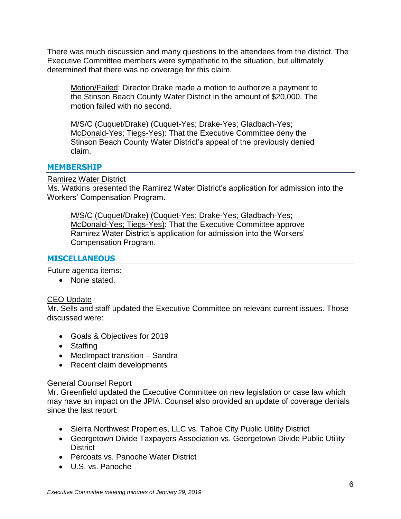There was much discussion and many questions to the attendees from the district. The Executive Committee members were sympathetic to the situation, but ultimately determined that there was no coverage for this claim.

Motion/Failed: Director Drake made a motion to authorize a payment to the Stinson Beach County Water District in the amount of \$20,000. The motion failed with no second.

M/S/C (Cuquet/Drake) (Cuquet-Yes; Drake-Yes; Gladbach-Yes; McDonald-Yes; Tiegs-Yes): That the Executive Committee deny the Stinson Beach County Water District's appeal of the previously denied claim.

## **MEMBERSHIP**

Ramirez Water District

Ms. Watkins presented the Ramirez Water District's application for admission into the Workers' Compensation Program.

M/S/C (Cuquet/Drake) (Cuquet-Yes; Drake-Yes; Gladbach-Yes; McDonald-Yes; Tiegs-Yes): That the Executive Committee approve Ramirez Water District's application for admission into the Workers' Compensation Program.

## **MISCELLANEOUS**

Future agenda items:

• None stated.

# CEO Update

Mr. Sells and staff updated the Executive Committee on relevant current issues. Those discussed were:

- Goals & Objectives for 2019
- Staffing
- MedImpact transition Sandra
- Recent claim developments

#### General Counsel Report

Mr. Greenfield updated the Executive Committee on new legislation or case law which may have an impact on the JPIA. Counsel also provided an update of coverage denials since the last report:

- Sierra Northwest Properties, LLC vs. Tahoe City Public Utility District
- Georgetown Divide Taxpayers Association vs. Georgetown Divide Public Utility **District**
- Percoats vs. Panoche Water District
- U.S. vs. Panoche